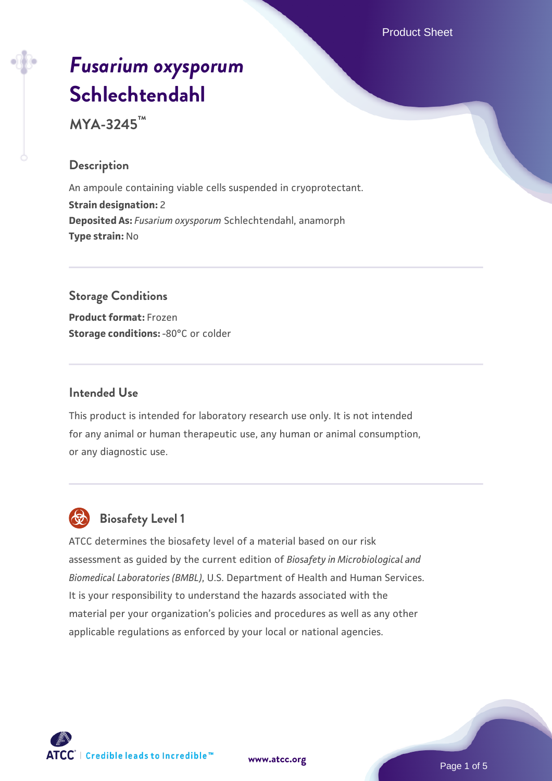Product Sheet

# *[Fusarium oxysporum](https://www.atcc.org/products/mya-3245)* **[Schlechtendahl](https://www.atcc.org/products/mya-3245)**

**MYA-3245™**

## **Description**

An ampoule containing viable cells suspended in cryoprotectant. **Strain designation:** 2 **Deposited As:** *Fusarium oxysporum* Schlechtendahl, anamorph **Type strain:** No

# **Storage Conditions**

**Product format:** Frozen **Storage conditions: -80°C or colder** 

#### **Intended Use**

This product is intended for laboratory research use only. It is not intended for any animal or human therapeutic use, any human or animal consumption, or any diagnostic use.



# **Biosafety Level 1**

ATCC determines the biosafety level of a material based on our risk assessment as guided by the current edition of *Biosafety in Microbiological and Biomedical Laboratories (BMBL)*, U.S. Department of Health and Human Services. It is your responsibility to understand the hazards associated with the material per your organization's policies and procedures as well as any other applicable regulations as enforced by your local or national agencies.



**[www.atcc.org](http://www.atcc.org)**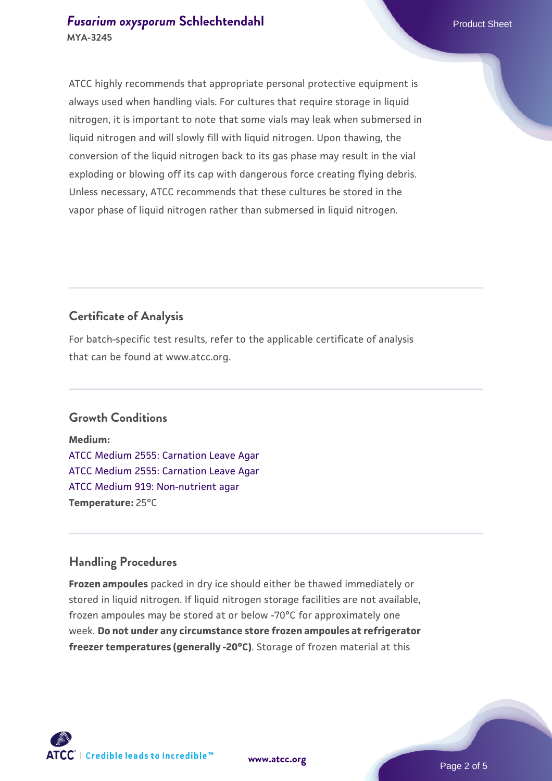ATCC highly recommends that appropriate personal protective equipment is always used when handling vials. For cultures that require storage in liquid nitrogen, it is important to note that some vials may leak when submersed in liquid nitrogen and will slowly fill with liquid nitrogen. Upon thawing, the conversion of the liquid nitrogen back to its gas phase may result in the vial exploding or blowing off its cap with dangerous force creating flying debris. Unless necessary, ATCC recommends that these cultures be stored in the vapor phase of liquid nitrogen rather than submersed in liquid nitrogen.

# **Certificate of Analysis**

For batch-specific test results, refer to the applicable certificate of analysis that can be found at www.atcc.org.

# **Growth Conditions**

**Medium:**  [ATCC Medium 2555: Carnation Leave Agar](https://www.atcc.org/-/media/product-assets/documents/microbial-media-formulations/2/5/5/5/atcc-medium-2555.pdf?rev=2862c60bbece41438149cf50fa0ef751) [ATCC Medium 2555: Carnation Leave Agar](https://www.atcc.org/-/media/product-assets/documents/microbial-media-formulations/2/5/5/5/atcc-medium-2555.pdf?rev=2862c60bbece41438149cf50fa0ef751) [ATCC Medium 919: Non-nutrient agar](https://www.atcc.org/-/media/product-assets/documents/microbial-media-formulations/9/1/9/atcc-medium-919.pdf?rev=f4e1e31d2b4249c2a4e4c31a4c703c9e) **Temperature:** 25°C

# **Handling Procedures**

**Frozen ampoules** packed in dry ice should either be thawed immediately or stored in liquid nitrogen. If liquid nitrogen storage facilities are not available, frozen ampoules may be stored at or below -70°C for approximately one week. **Do not under any circumstance store frozen ampoules at refrigerator freezer temperatures (generally -20°C)**. Storage of frozen material at this

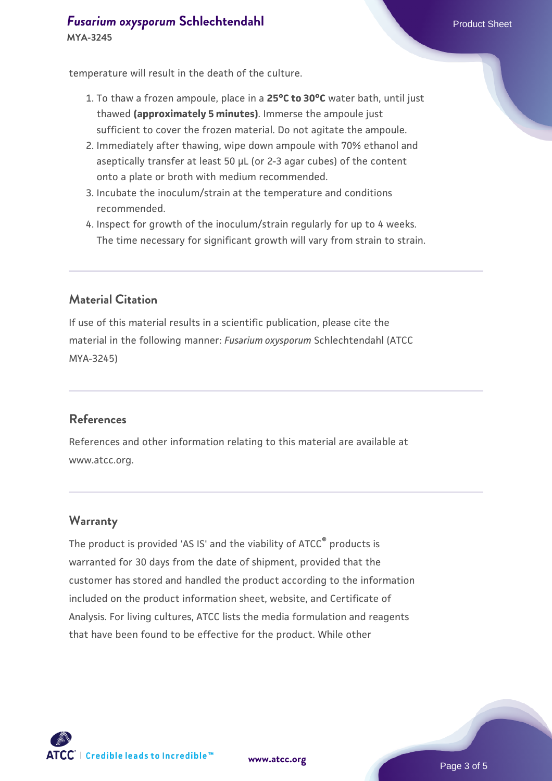temperature will result in the death of the culture.

- 1. To thaw a frozen ampoule, place in a **25°C to 30°C** water bath, until just thawed **(approximately 5 minutes)**. Immerse the ampoule just sufficient to cover the frozen material. Do not agitate the ampoule.
- 2. Immediately after thawing, wipe down ampoule with 70% ethanol and aseptically transfer at least 50 µL (or 2-3 agar cubes) of the content onto a plate or broth with medium recommended.
- 3. Incubate the inoculum/strain at the temperature and conditions recommended.
- 4. Inspect for growth of the inoculum/strain regularly for up to 4 weeks. The time necessary for significant growth will vary from strain to strain.

# **Material Citation**

If use of this material results in a scientific publication, please cite the material in the following manner: *Fusarium oxysporum* Schlechtendahl (ATCC MYA-3245)

#### **References**

References and other information relating to this material are available at www.atcc.org.

#### **Warranty**

The product is provided 'AS IS' and the viability of ATCC® products is warranted for 30 days from the date of shipment, provided that the customer has stored and handled the product according to the information included on the product information sheet, website, and Certificate of Analysis. For living cultures, ATCC lists the media formulation and reagents that have been found to be effective for the product. While other



**[www.atcc.org](http://www.atcc.org)**

Page 3 of 5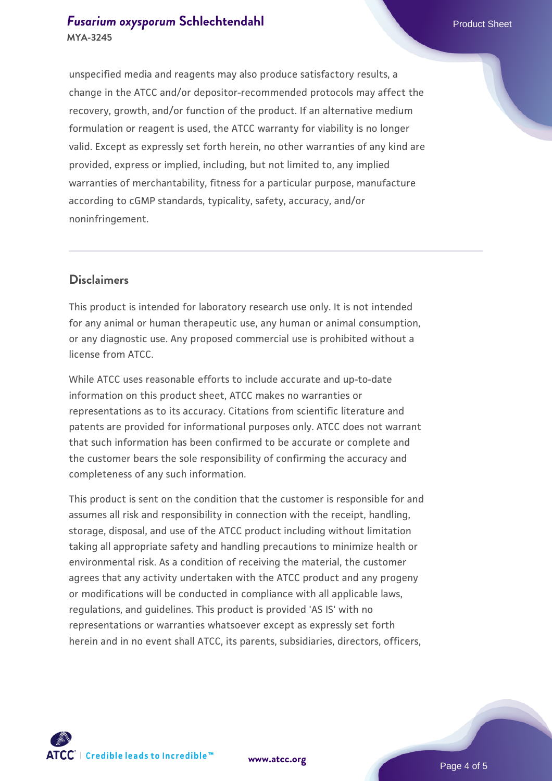# **[Fusarium oxysporum](https://www.atcc.org/products/mya-3245) [Schlechtendahl](https://www.atcc.org/products/mya-3245) Product Sheet Product Sheet MYA-3245**

unspecified media and reagents may also produce satisfactory results, a change in the ATCC and/or depositor-recommended protocols may affect the recovery, growth, and/or function of the product. If an alternative medium formulation or reagent is used, the ATCC warranty for viability is no longer valid. Except as expressly set forth herein, no other warranties of any kind are provided, express or implied, including, but not limited to, any implied warranties of merchantability, fitness for a particular purpose, manufacture according to cGMP standards, typicality, safety, accuracy, and/or noninfringement.

#### **Disclaimers**

This product is intended for laboratory research use only. It is not intended for any animal or human therapeutic use, any human or animal consumption, or any diagnostic use. Any proposed commercial use is prohibited without a license from ATCC.

While ATCC uses reasonable efforts to include accurate and up-to-date information on this product sheet, ATCC makes no warranties or representations as to its accuracy. Citations from scientific literature and patents are provided for informational purposes only. ATCC does not warrant that such information has been confirmed to be accurate or complete and the customer bears the sole responsibility of confirming the accuracy and completeness of any such information.

This product is sent on the condition that the customer is responsible for and assumes all risk and responsibility in connection with the receipt, handling, storage, disposal, and use of the ATCC product including without limitation taking all appropriate safety and handling precautions to minimize health or environmental risk. As a condition of receiving the material, the customer agrees that any activity undertaken with the ATCC product and any progeny or modifications will be conducted in compliance with all applicable laws, regulations, and guidelines. This product is provided 'AS IS' with no representations or warranties whatsoever except as expressly set forth herein and in no event shall ATCC, its parents, subsidiaries, directors, officers,